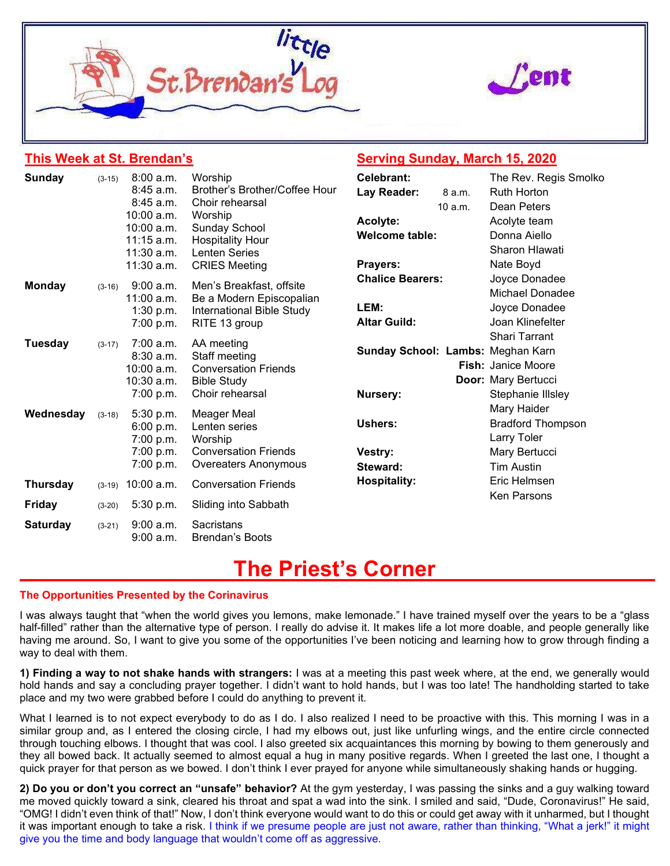



## This Week at St. Brendan's

## Serving Sunday, March 15, 2020

| <b>Sunday</b>   | $(3-15)$ | 8:00 a.m.<br>$8:45$ a.m.<br>$8:45$ a.m.<br>$10:00$ a.m.<br>$10:00$ a.m.<br>$11:15$ a.m.<br>$11:30$ a.m.<br>11:30 a.m. | Worship<br>Brother's Brother/Coffee Hour<br>Choir rehearsal<br>Worship<br>Sunday School<br><b>Hospitality Hour</b><br><b>Lenten Series</b><br><b>CRIES Meeting</b> | Celebrant:<br>Lay Reader:<br>Acolyte:<br><b>Welcome table:</b><br>Prayers: | 8 a.m.<br>10 a.m. | The Rev. Regis Smolko<br><b>Ruth Horton</b><br>Dean Peters<br>Acolyte team<br>Donna Aiello<br>Sharon Hlawati<br>Nate Boyd |
|-----------------|----------|-----------------------------------------------------------------------------------------------------------------------|--------------------------------------------------------------------------------------------------------------------------------------------------------------------|----------------------------------------------------------------------------|-------------------|---------------------------------------------------------------------------------------------------------------------------|
| <b>Monday</b>   | $(3-16)$ | 9:00 a.m.<br>11:00 a.m.<br>1:30 p.m.<br>7:00 p.m.                                                                     | Men's Breakfast, offsite<br>Be a Modern Episcopalian<br>International Bible Study<br>RITE 13 group                                                                 | <b>Chalice Bearers:</b><br>LEM:<br><b>Altar Guild:</b>                     |                   | Joyce Donadee<br>Michael Donadee<br>Joyce Donadee<br>Joan Klinefelter                                                     |
| <b>Tuesday</b>  | $(3-17)$ | 7:00 a.m.<br>8:30 a.m.<br>$10:00$ a.m.<br>10:30 a.m.<br>7:00 p.m.                                                     | AA meeting<br>Staff meeting<br><b>Conversation Friends</b><br><b>Bible Study</b><br>Choir rehearsal                                                                | Sunday School: Lambs: Meghan Karn<br>Nursery:                              |                   | <b>Shari Tarrant</b><br><b>Fish: Janice Moore</b><br>Door: Mary Bertucci<br>Stephanie Illsley                             |
| Wednesday       | $(3-18)$ | 5:30 p.m.<br>6:00 p.m.<br>7:00 p.m.<br>7:00 p.m.<br>7:00 p.m.                                                         | Meager Meal<br>Lenten series<br>Worship<br><b>Conversation Friends</b><br>Overeaters Anonymous                                                                     | Ushers:<br>Vestry:<br>Steward:                                             |                   | Mary Haider<br><b>Bradford Thompson</b><br>Larry Toler<br>Mary Bertucci<br><b>Tim Austin</b>                              |
| <b>Thursday</b> | $(3-19)$ | 10:00 a.m.                                                                                                            | <b>Conversation Friends</b>                                                                                                                                        | <b>Hospitality:</b>                                                        |                   | Eric Helmsen                                                                                                              |
| <b>Friday</b>   | $(3-20)$ | 5:30 p.m.                                                                                                             | Sliding into Sabbath                                                                                                                                               |                                                                            |                   | Ken Parsons                                                                                                               |
| <b>Saturday</b> | $(3-21)$ | $9:00$ a.m.<br>9:00 a.m.                                                                                              | Sacristans<br><b>Brendan's Boots</b>                                                                                                                               |                                                                            |                   |                                                                                                                           |

# The Priest's Corner

#### The Opportunities Presented by the Corinavirus

I was always taught that "when the world gives you lemons, make lemonade." I have trained myself over the years to be a "glass half-filled" rather than the alternative type of person. I really do advise it. It makes life a lot more doable, and people generally like having me around. So, I want to give you some of the opportunities I've been noticing and learning how to grow through finding a way to deal with them.

1) Finding a way to not shake hands with strangers: I was at a meeting this past week where, at the end, we generally would hold hands and say a concluding prayer together. I didn't want to hold hands, but I was too late! The handholding started to take place and my two were grabbed before I could do anything to prevent it.

What I learned is to not expect everybody to do as I do. I also realized I need to be proactive with this. This morning I was in a similar group and, as I entered the closing circle, I had my elbows out, just like unfurling wings, and the entire circle connected through touching elbows. I thought that was cool. I also greeted six acquaintances this morning by bowing to them generously and they all bowed back. It actually seemed to almost equal a hug in many positive regards. When I greeted the last one, I thought a quick prayer for that person as we bowed. I don't think I ever prayed for anyone while simultaneously shaking hands or hugging.

2) Do you or don't you correct an "unsafe" behavior? At the gym yesterday, I was passing the sinks and a guy walking toward me moved quickly toward a sink, cleared his throat and spat a wad into the sink. I smiled and said, "Dude, Coronavirus!" He said, "OMG! I didn't even think of that!" Now, I don't think everyone would want to do this or could get away with it unharmed, but I thought it was important enough to take a risk. I think if we presume people are just not aware, rather than thinking, "What a jerk!" it might give you the time and body language that wouldn't come off as aggressive.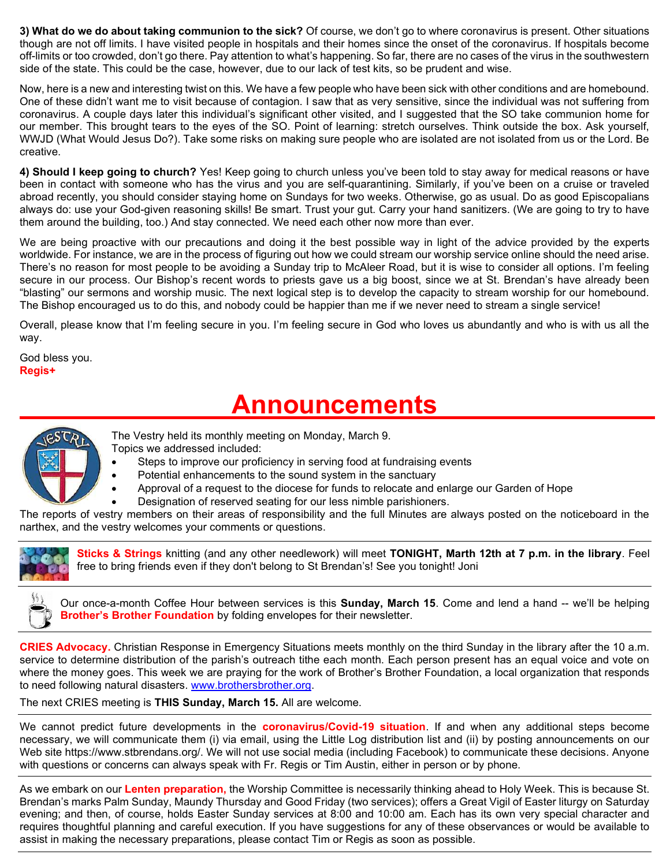3) What do we do about taking communion to the sick? Of course, we don't go to where coronavirus is present. Other situations though are not off limits. I have visited people in hospitals and their homes since the onset of the coronavirus. If hospitals become off-limits or too crowded, don't go there. Pay attention to what's happening. So far, there are no cases of the virus in the southwestern side of the state. This could be the case, however, due to our lack of test kits, so be prudent and wise.

Now, here is a new and interesting twist on this. We have a few people who have been sick with other conditions and are homebound. One of these didn't want me to visit because of contagion. I saw that as very sensitive, since the individual was not suffering from coronavirus. A couple days later this individual's significant other visited, and I suggested that the SO take communion home for our member. This brought tears to the eyes of the SO. Point of learning: stretch ourselves. Think outside the box. Ask yourself, WWJD (What Would Jesus Do?). Take some risks on making sure people who are isolated are not isolated from us or the Lord. Be creative.

4) Should I keep going to church? Yes! Keep going to church unless you've been told to stay away for medical reasons or have been in contact with someone who has the virus and you are self-quarantining. Similarly, if you've been on a cruise or traveled abroad recently, you should consider staying home on Sundays for two weeks. Otherwise, go as usual. Do as good Episcopalians always do: use your God-given reasoning skills! Be smart. Trust your gut. Carry your hand sanitizers. (We are going to try to have them around the building, too.) And stay connected. We need each other now more than ever.

We are being proactive with our precautions and doing it the best possible way in light of the advice provided by the experts worldwide. For instance, we are in the process of figuring out how we could stream our worship service online should the need arise. There's no reason for most people to be avoiding a Sunday trip to McAleer Road, but it is wise to consider all options. I'm feeling secure in our process. Our Bishop's recent words to priests gave us a big boost, since we at St. Brendan's have already been "blasting" our sermons and worship music. The next logical step is to develop the capacity to stream worship for our homebound. The Bishop encouraged us to do this, and nobody could be happier than me if we never need to stream a single service!

Overall, please know that I'm feeling secure in you. I'm feeling secure in God who loves us abundantly and who is with us all the way.

God bless you. Regis+

# Announcements



- The Vestry held its monthly meeting on Monday, March 9. Topics we addressed included:
	- Steps to improve our proficiency in serving food at fundraising events
		- Potential enhancements to the sound system in the sanctuary
		- Approval of a request to the diocese for funds to relocate and enlarge our Garden of Hope
	- Designation of reserved seating for our less nimble parishioners.

The reports of vestry members on their areas of responsibility and the full Minutes are always posted on the noticeboard in the narthex, and the vestry welcomes your comments or questions.



Sticks & Strings knitting (and any other needlework) will meet TONIGHT, Marth 12th at 7 p.m. in the library. Feel free to bring friends even if they don't belong to St Brendan's! See you tonight! Joni

Our once-a-month Coffee Hour between services is this Sunday, March 15. Come and lend a hand -- we'll be helping **Brother's Brother Foundation** by folding envelopes for their newsletter.

CRIES Advocacy. Christian Response in Emergency Situations meets monthly on the third Sunday in the library after the 10 a.m. service to determine distribution of the parish's outreach tithe each month. Each person present has an equal voice and vote on where the money goes. This week we are praying for the work of Brother's Brother Foundation, a local organization that responds to need following natural disasters. www.brothersbrother.org.

The next CRIES meeting is THIS Sunday, March 15. All are welcome.

We cannot predict future developments in the **coronavirus/Covid-19 situation**. If and when any additional steps become necessary, we will communicate them (i) via email, using the Little Log distribution list and (ii) by posting announcements on our Web site https://www.stbrendans.org/. We will not use social media (including Facebook) to communicate these decisions. Anyone with questions or concerns can always speak with Fr. Regis or Tim Austin, either in person or by phone.

As we embark on our Lenten preparation, the Worship Committee is necessarily thinking ahead to Holy Week. This is because St. Brendan's marks Palm Sunday, Maundy Thursday and Good Friday (two services); offers a Great Vigil of Easter liturgy on Saturday evening; and then, of course, holds Easter Sunday services at 8:00 and 10:00 am. Each has its own very special character and requires thoughtful planning and careful execution. If you have suggestions for any of these observances or would be available to assist in making the necessary preparations, please contact Tim or Regis as soon as possible.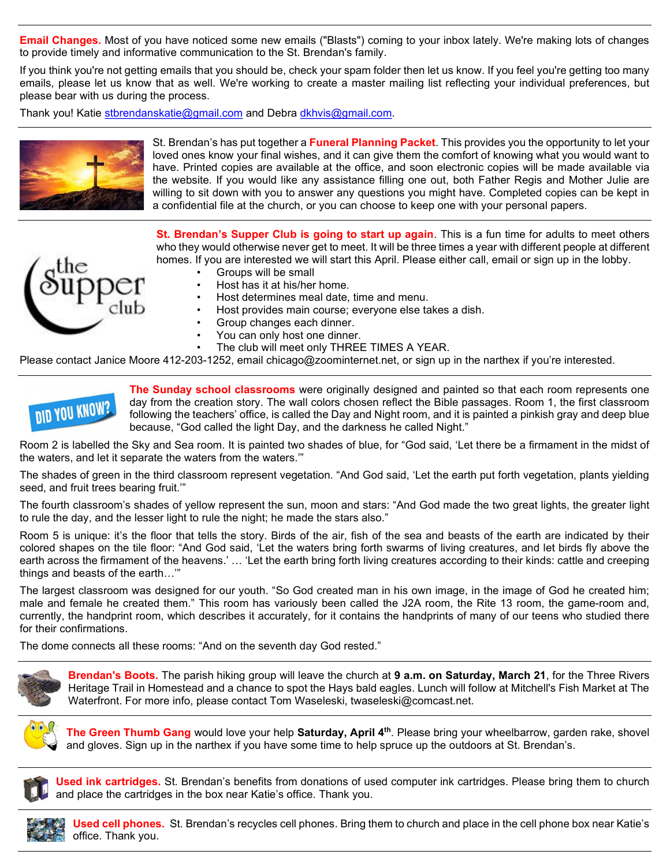**Email Changes.** Most of you have noticed some new emails ("Blasts") coming to your inbox lately. We're making lots of changes to provide timely and informative communication to the St. Brendan's family.

If you think you're not getting emails that you should be, check your spam folder then let us know. If you feel you're getting too many emails, please let us know that as well. We're working to create a master mailing list reflecting your individual preferences, but please bear with us during the process.

Thank you! Katie stbrendanskatie@gmail.com and Debra dkhvis@gmail.com.



St. Brendan's has put together a **Funeral Planning Packet**. This provides you the opportunity to let your loved ones know your final wishes, and it can give them the comfort of knowing what you would want to have. Printed copies are available at the office, and soon electronic copies will be made available via the website. If you would like any assistance filling one out, both Father Regis and Mother Julie are willing to sit down with you to answer any questions you might have. Completed copies can be kept in a confidential file at the church, or you can choose to keep one with your personal papers.

St. Brendan's Supper Club is going to start up again. This is a fun time for adults to meet others who they would otherwise never get to meet. It will be three times a year with different people at different homes. If you are interested we will start this April. Please either call, email or sign up in the lobby.

- 
- Groups will be small
- Host has it at his/her home.
- Host determines meal date, time and menu.
- Host provides main course; everyone else takes a dish.
- Group changes each dinner.
- You can only host one dinner.
- The club will meet only THREE TIMES A YEAR.

Please contact Janice Moore 412-203-1252, email chicago@zoominternet.net, or sign up in the narthex if you're interested.



The Sunday school classrooms were originally designed and painted so that each room represents one day from the creation story. The wall colors chosen reflect the Bible passages. Room 1, the first classroom following the teachers' office, is called the Day and Night room, and it is painted a pinkish gray and deep blue because, "God called the light Day, and the darkness he called Night."

Room 2 is labelled the Sky and Sea room. It is painted two shades of blue, for "God said, 'Let there be a firmament in the midst of the waters, and let it separate the waters from the waters.'"

The shades of green in the third classroom represent vegetation. "And God said, 'Let the earth put forth vegetation, plants yielding seed, and fruit trees bearing fruit.'"

The fourth classroom's shades of yellow represent the sun, moon and stars: "And God made the two great lights, the greater light to rule the day, and the lesser light to rule the night; he made the stars also."

Room 5 is unique: it's the floor that tells the story. Birds of the air, fish of the sea and beasts of the earth are indicated by their colored shapes on the tile floor: "And God said, 'Let the waters bring forth swarms of living creatures, and let birds fly above the earth across the firmament of the heavens.' … 'Let the earth bring forth living creatures according to their kinds: cattle and creeping things and beasts of the earth…'"

The largest classroom was designed for our youth. "So God created man in his own image, in the image of God he created him; male and female he created them." This room has variously been called the J2A room, the Rite 13 room, the game-room and, currently, the handprint room, which describes it accurately, for it contains the handprints of many of our teens who studied there for their confirmations.

The dome connects all these rooms: "And on the seventh day God rested."



Brendan's Boots. The parish hiking group will leave the church at 9 a.m. on Saturday, March 21, for the Three Rivers Heritage Trail in Homestead and a chance to spot the Hays bald eagles. Lunch will follow at Mitchell's Fish Market at The Waterfront. For more info, please contact Tom Waseleski, twaseleski@comcast.net.



The Green Thumb Gang would love your help Saturday, April 4<sup>th</sup>. Please bring your wheelbarrow, garden rake, shovel and gloves. Sign up in the narthex if you have some time to help spruce up the outdoors at St. Brendan's.



Used ink cartridges. St. Brendan's benefits from donations of used computer ink cartridges. Please bring them to church and place the cartridges in the box near Katie's office. Thank you.



Used cell phones. St. Brendan's recycles cell phones. Bring them to church and place in the cell phone box near Katie's office. Thank you.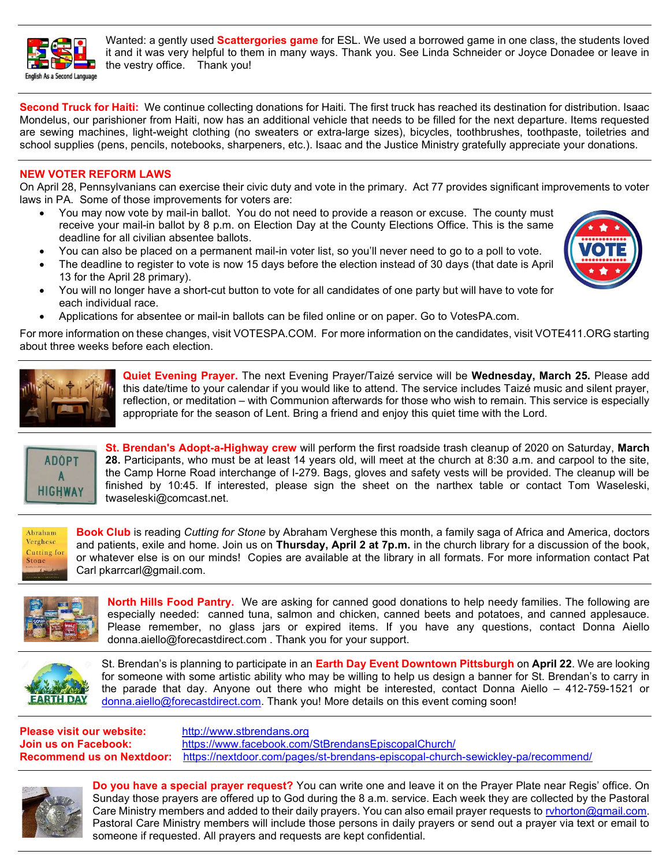

Wanted: a gently used **Scattergories game** for ESL. We used a borrowed game in one class, the students loved it and it was very helpful to them in many ways. Thank you. See Linda Schneider or Joyce Donadee or leave in the vestry office. Thank you!

Second Truck for Haiti: We continue collecting donations for Haiti. The first truck has reached its destination for distribution. Isaac Mondelus, our parishioner from Haiti, now has an additional vehicle that needs to be filled for the next departure. Items requested are sewing machines, light-weight clothing (no sweaters or extra-large sizes), bicycles, toothbrushes, toothpaste, toiletries and school supplies (pens, pencils, notebooks, sharpeners, etc.). Isaac and the Justice Ministry gratefully appreciate your donations.

#### NEW VOTER REFORM LAWS

On April 28, Pennsylvanians can exercise their civic duty and vote in the primary. Act 77 provides significant improvements to voter laws in PA. Some of those improvements for voters are:

- You may now vote by mail-in ballot. You do not need to provide a reason or excuse. The county must receive your mail-in ballot by 8 p.m. on Election Day at the County Elections Office. This is the same deadline for all civilian absentee ballots.
- You can also be placed on a permanent mail-in voter list, so you'll never need to go to a poll to vote.
	- The deadline to register to vote is now 15 days before the election instead of 30 days (that date is April 13 for the April 28 primary).
- You will no longer have a short-cut button to vote for all candidates of one party but will have to vote for each individual race.
- Applications for absentee or mail-in ballots can be filed online or on paper. Go to VotesPA.com.

For more information on these changes, visit VOTESPA.COM. For more information on the candidates, visit VOTE411.ORG starting about three weeks before each election.



Quiet Evening Prayer. The next Evening Prayer/Taizé service will be Wednesday, March 25. Please add this date/time to your calendar if you would like to attend. The service includes Taizé music and silent prayer, reflection, or meditation – with Communion afterwards for those who wish to remain. This service is especially appropriate for the season of Lent. Bring a friend and enjoy this quiet time with the Lord.



St. Brendan's Adopt-a-Highway crew will perform the first roadside trash cleanup of 2020 on Saturday, March 28. Participants, who must be at least 14 years old, will meet at the church at 8:30 a.m. and carpool to the site, the Camp Horne Road interchange of I-279. Bags, gloves and safety vests will be provided. The cleanup will be finished by 10:45. If interested, please sign the sheet on the narthex table or contact Tom Waseleski, twaseleski@comcast.net.



Book Club is reading Cutting for Stone by Abraham Verghese this month, a family saga of Africa and America, doctors and patients, exile and home. Join us on Thursday, April 2 at 7p.m. in the church library for a discussion of the book, or whatever else is on our minds! Copies are available at the library in all formats. For more information contact Pat Carl pkarrcarl@gmail.com.



North Hills Food Pantry. We are asking for canned good donations to help needy families. The following are especially needed: canned tuna, salmon and chicken, canned beets and potatoes, and canned applesauce. Please remember, no glass jars or expired items. If you have any questions, contact Donna Aiello donna.aiello@forecastdirect.com . Thank you for your support.



St. Brendan's is planning to participate in an **Earth Day Event Downtown Pittsburgh** on **April 22**. We are looking for someone with some artistic ability who may be willing to help us design a banner for St. Brendan's to carry in the parade that day. Anyone out there who might be interested, contact Donna Aiello – 412-759-1521 or donna.aiello@forecastdirect.com. Thank you! More details on this event coming soon!

Please visit our website: http://www.stbrendans.org Join us on Facebook: https://www.facebook.com/StBrendansEpiscopalChurch/ Recommend us on Nextdoor: https://nextdoor.com/pages/st-brendans-episcopal-church-sewickley-pa/recommend/



Do you have a special prayer request? You can write one and leave it on the Prayer Plate near Regis' office. On Sunday those prayers are offered up to God during the 8 a.m. service. Each week they are collected by the Pastoral Care Ministry members and added to their daily prayers. You can also email prayer requests to rvhorton@gmail.com. Pastoral Care Ministry members will include those persons in daily prayers or send out a prayer via text or email to someone if requested. All prayers and requests are kept confidential.

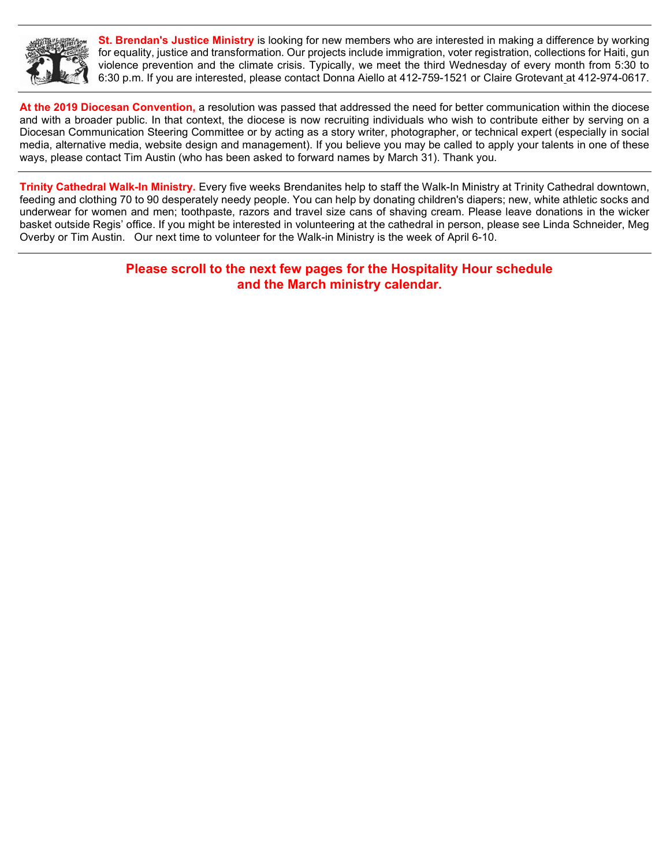

**St. Brendan's Justice Ministry** is looking for new members who are interested in making a difference by working for equality, justice and transformation. Our projects include immigration, voter registration, collections for Haiti, gun violence prevention and the climate crisis. Typically, we meet the third Wednesday of every month from 5:30 to 6:30 p.m. If you are interested, please contact Donna Aiello at 412-759-1521 or Claire Grotevant at 412-974-0617.

At the 2019 Diocesan Convention, a resolution was passed that addressed the need for better communication within the diocese and with a broader public. In that context, the diocese is now recruiting individuals who wish to contribute either by serving on a Diocesan Communication Steering Committee or by acting as a story writer, photographer, or technical expert (especially in social media, alternative media, website design and management). If you believe you may be called to apply your talents in one of these ways, please contact Tim Austin (who has been asked to forward names by March 31). Thank you.

Trinity Cathedral Walk-In Ministry. Every five weeks Brendanites help to staff the Walk-In Ministry at Trinity Cathedral downtown, feeding and clothing 70 to 90 desperately needy people. You can help by donating children's diapers; new, white athletic socks and underwear for women and men; toothpaste, razors and travel size cans of shaving cream. Please leave donations in the wicker basket outside Regis' office. If you might be interested in volunteering at the cathedral in person, please see Linda Schneider, Meg Overby or Tim Austin. Our next time to volunteer for the Walk-in Ministry is the week of April 6-10.

> Please scroll to the next few pages for the Hospitality Hour schedule and the March ministry calendar.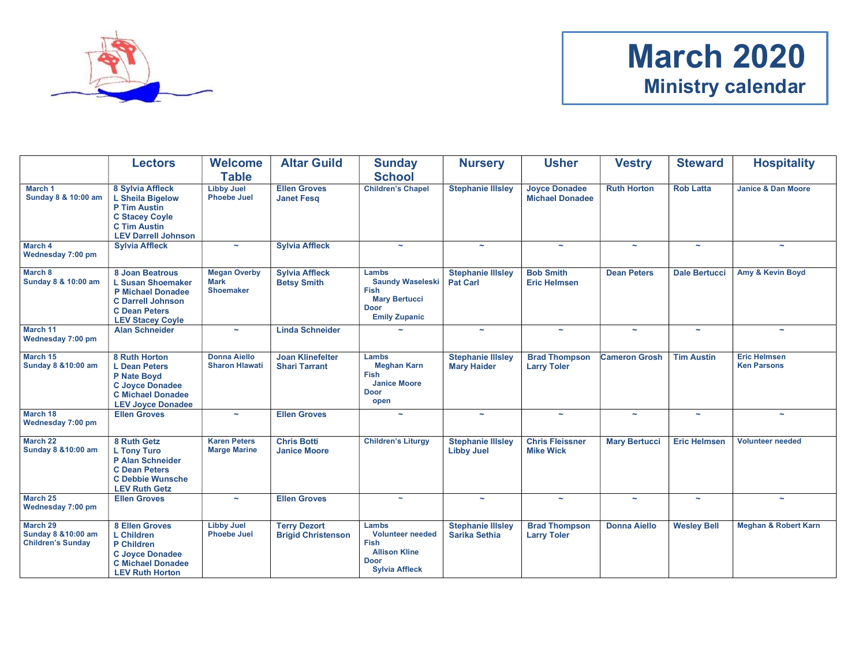

# March 2020 Ministry calendar

|                                                             | <b>Lectors</b>                                                                                                                                         | <b>Welcome</b><br><b>Table</b>                         | <b>Altar Guild</b>                               | <b>Sunday</b><br><b>School</b>                                                                                  | <b>Nursery</b>                                   | <b>Usher</b>                                   | <b>Vestry</b>         | <b>Steward</b>        | <b>Hospitality</b>                        |
|-------------------------------------------------------------|--------------------------------------------------------------------------------------------------------------------------------------------------------|--------------------------------------------------------|--------------------------------------------------|-----------------------------------------------------------------------------------------------------------------|--------------------------------------------------|------------------------------------------------|-----------------------|-----------------------|-------------------------------------------|
| March 1<br>Sunday 8 & 10:00 am                              | 8 Sylvia Affleck<br>L Sheila Bigelow<br>P Tim Austin<br><b>C Stacey Coyle</b><br><b>C Tim Austin</b><br><b>LEV Darrell Johnson</b>                     | <b>Libby Juel</b><br><b>Phoebe Juel</b>                | <b>Ellen Groves</b><br><b>Janet Fesq</b>         | <b>Children's Chapel</b>                                                                                        | <b>Stephanie Illsley</b>                         | <b>Joyce Donadee</b><br><b>Michael Donadee</b> | <b>Ruth Horton</b>    | <b>Rob Latta</b>      | <b>Janice &amp; Dan Moore</b>             |
| March 4<br>Wednesday 7:00 pm                                | <b>Sylvia Affleck</b>                                                                                                                                  | $\tilde{\phantom{a}}$                                  | <b>Sylvia Affleck</b>                            | ÷                                                                                                               | $\tilde{\phantom{a}}$                            | $\sim$                                         | $\sim$                | $\tilde{\phantom{a}}$ | $\sim$                                    |
| March 8<br>Sunday 8 & 10:00 am                              | 8 Joan Beatrous<br><b>L Susan Shoemaker</b><br><b>P Michael Donadee</b><br><b>C Darrell Johnson</b><br><b>C Dean Peters</b><br><b>LEV Stacey Coyle</b> | <b>Megan Overby</b><br><b>Mark</b><br><b>Shoemaker</b> | <b>Sylvia Affleck</b><br><b>Betsy Smith</b>      | Lambs<br><b>Saundy Waseleski</b><br><b>Fish</b><br><b>Mary Bertucci</b><br><b>Door</b><br><b>Emily Zupanic</b>  | <b>Stephanie Illsley</b><br><b>Pat Carl</b>      | <b>Bob Smith</b><br><b>Eric Helmsen</b>        | <b>Dean Peters</b>    | <b>Dale Bertucci</b>  | Amy & Kevin Boyd                          |
| March 11<br>Wednesday 7:00 pm                               | <b>Alan Schneider</b>                                                                                                                                  | $\sim$                                                 | <b>Linda Schneider</b>                           |                                                                                                                 | $\sim$                                           | $\sim$                                         | $\sim$                | $\sim$                | $\sim$                                    |
| March 15<br>Sunday 8 & 10:00 am                             | 8 Ruth Horton<br><b>L</b> Dean Peters<br>P Nate Boyd<br><b>C Joyce Donadee</b><br><b>C</b> Michael Donadee<br><b>LEV Joyce Donadee</b>                 | <b>Donna Aiello</b><br><b>Sharon Hlawati</b>           | <b>Joan Klinefelter</b><br><b>Shari Tarrant</b>  | Lambs<br><b>Meghan Karn</b><br><b>Fish</b><br><b>Janice Moore</b><br><b>Door</b><br>open                        | <b>Stephanie Illsley</b><br><b>Mary Haider</b>   | <b>Brad Thompson</b><br><b>Larry Toler</b>     | <b>Cameron Grosh</b>  | <b>Tim Austin</b>     | <b>Eric Helmsen</b><br><b>Ken Parsons</b> |
| March 18<br>Wednesday 7:00 pm                               | <b>Ellen Groves</b>                                                                                                                                    | $\tilde{\phantom{a}}$                                  | <b>Ellen Groves</b>                              | $\tilde{\phantom{a}}$                                                                                           | $\tilde{\phantom{a}}$                            | $\sim$                                         | $\sim$                | $\tilde{\phantom{a}}$ | $\sim$                                    |
| March 22<br>Sunday 8 & 10:00 am                             | 8 Ruth Getz<br><b>L Tony Turo</b><br>P Alan Schneider<br><b>C</b> Dean Peters<br><b>C Debbie Wunsche</b><br><b>LEV Ruth Getz</b>                       | <b>Karen Peters</b><br><b>Marge Marine</b>             | <b>Chris Botti</b><br><b>Janice Moore</b>        | <b>Children's Liturgy</b>                                                                                       | <b>Stephanie Illsley</b><br><b>Libby Juel</b>    | <b>Chris Fleissner</b><br><b>Mike Wick</b>     | <b>Mary Bertucci</b>  | <b>Eric Helmsen</b>   | <b>Volunteer needed</b>                   |
| March 25<br>Wednesday 7:00 pm                               | <b>Ellen Groves</b>                                                                                                                                    | $\tilde{\phantom{a}}$                                  | <b>Ellen Groves</b>                              | $\tilde{\phantom{a}}$                                                                                           | $\sim$                                           | $\sim$                                         | $\tilde{\phantom{a}}$ | $\tilde{\phantom{a}}$ | $\sim$                                    |
| March 29<br>Sunday 8 & 10:00 am<br><b>Children's Sunday</b> | 8 Ellen Groves<br><b>L</b> Children<br>P Children<br><b>C Joyce Donadee</b><br><b>C</b> Michael Donadee<br><b>LEV Ruth Horton</b>                      | <b>Libby Juel</b><br><b>Phoebe Juel</b>                | <b>Terry Dezort</b><br><b>Brigid Christenson</b> | Lambs<br><b>Volunteer needed</b><br><b>Fish</b><br><b>Allison Kline</b><br><b>Door</b><br><b>Sylvia Affleck</b> | <b>Stephanie Illsley</b><br><b>Sarika Sethia</b> | <b>Brad Thompson</b><br><b>Larry Toler</b>     | <b>Donna Aiello</b>   | <b>Wesley Bell</b>    | <b>Meghan &amp; Robert Karn</b>           |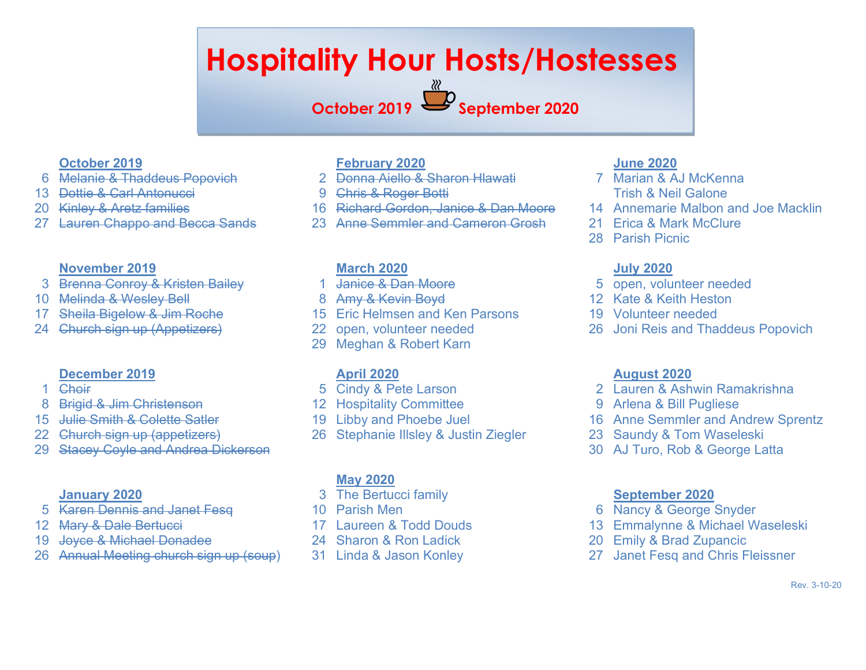# Hospitality Hour Hosts/Hostesses

# October 2019 September 2020

### October 2019

- 6 Melanie & Thaddeus Popovich
- 13 Dottie & Carl Antonucci
- 20 Kinley & Aretz families
- 27 Lauren Chappo and Becca Sands

#### November 2019

- 3 Brenna Conroy & Kristen Bailey
- 10 Melinda & Wesley Bell
- 17 Sheila Bigelow & Jim Roche
- 24 Church sign up (Appetizers)

#### December 2019

- 1 Choir
- 8 Brigid & Jim Christenson
- 15 Julie Smith & Colette Satler
- 22 Church sign up (appetizers)
- 29 Stacey Coyle and Andrea Dickerson

#### January 2020

- 5 Karen Dennis and Janet Fesq
- 12 Mary & Dale Bertucci
- 19 Joyce & Michael Donadee
- 26 Annual Meeting church sign up (soup)

# February 2020

- 2 Donna Aiello & Sharon Hlawati
- 9 Chris & Roger Botti
- 16 Richard Gordon, Janice & Dan Moore
- 23 Anne Semmler and Cameron Grosh

#### March 2020

- 1 Janice & Dan Moore
- 8 Amy & Kevin Boyd
- 15 Eric Helmsen and Ken Parsons
- 22 open, volunteer needed
- 29 Meghan & Robert Karn

#### April 2020

- 5 Cindy & Pete Larson
- 12 Hospitality Committee
- 19 Libby and Phoebe Juel
- 26 Stephanie Illsley & Justin Ziegler

# May 2020

- 3 The Bertucci family
- 10 Parish Men
- 17 Laureen & Todd Douds
- 24 Sharon & Ron Ladick
- 31 Linda & Jason Konley

# June 2020

- 7 Marian & AJ McKenna Trish & Neil Galone
- 14 Annemarie Malbon and Joe Macklin
- 21 Erica & Mark McClure
- 28 Parish Picnic

## July 2020

- 5 open, volunteer needed
- 12 Kate & Keith Heston
- 19 Volunteer needed
- 26 Joni Reis and Thaddeus Popovich

#### August 2020

- 2 Lauren & Ashwin Ramakrishna
- 9 Arlena & Bill Pugliese
- 16 Anne Semmler and Andrew Sprentz
- 23 Saundy & Tom Waseleski
- 30 AJ Turo, Rob & George Latta

#### September 2020

- 6 Nancy & George Snyder
- 13 Emmalynne & Michael Waseleski
- 20 Emily & Brad Zupancic
- 27 Janet Fesq and Chris Fleissner